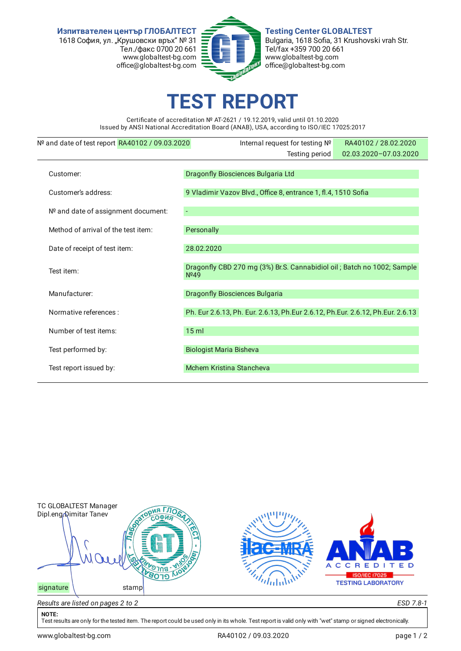**Изпитвателен център ГЛОБАЛТЕСТ** 1618 София, ул. "Крушовски връх" № 31 Тел./факс 0700 20 661 www.globaltest-bg.com office@globaltest-bg.com



**Testing Center GLOBALTEST** Bulgaria, 1618 Sofia, 31 Krushovski vrah Str. Tel/fax +359 700 20 661 www.globaltest-bg.com office@globaltest-bg.com

## **EST REPO**

Certificate of accreditation № AT-2621 / 19.12.2019, valid until 01.10.2020 Issued by ANSI National Accreditation Board (ANAB), USA, according to ISO/IEC 17025:2017

| Nº and date of test report RA40102 / 09.03.2020 | Internal request for testing Nº                                                            | RA40102 / 28.02.2020  |  |  |  |
|-------------------------------------------------|--------------------------------------------------------------------------------------------|-----------------------|--|--|--|
|                                                 | Testing period                                                                             | 02.03.2020-07.03.2020 |  |  |  |
| Customer:                                       | Dragonfly Biosciences Bulgaria Ltd                                                         |                       |  |  |  |
| Customer's address:                             | 9 Vladimir Vazov Blvd., Office 8, entrance 1, fl.4, 1510 Sofia                             |                       |  |  |  |
| Nº and date of assignment document:             |                                                                                            |                       |  |  |  |
| Method of arrival of the test item:             | Personally                                                                                 |                       |  |  |  |
| Date of receipt of test item:                   | 28.02.2020                                                                                 |                       |  |  |  |
| Test item:                                      | Dragonfly CBD 270 mg (3%) Br.S. Cannabidiol oil; Batch no 1002; Sample<br>N <sup>249</sup> |                       |  |  |  |
| Manufacturer:                                   | <b>Dragonfly Biosciences Bulgaria</b>                                                      |                       |  |  |  |
| Normative references :                          | Ph. Eur 2.6.13, Ph. Eur. 2.6.13, Ph.Eur 2.6.12, Ph.Eur. 2.6.12, Ph.Eur. 2.6.13             |                       |  |  |  |
| Number of test items:                           | $15$ ml                                                                                    |                       |  |  |  |
| Test performed by:                              | <b>Biologist Maria Bisheva</b>                                                             |                       |  |  |  |
| Test report issued by:                          | Mchem Kristina Stancheva                                                                   |                       |  |  |  |
|                                                 |                                                                                            |                       |  |  |  |



## **NOTE:**

Test results are only for the tested item. The report could be used only in its whole. Test report is valid only with "wet" stamp or signed electronically.